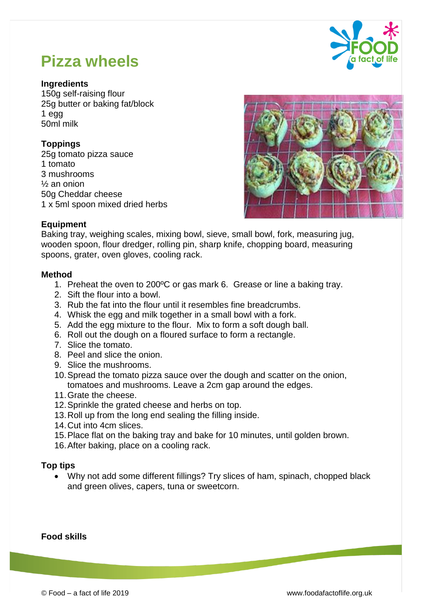

# **Pizza wheels**

#### **Ingredients**

150g self-raising flour 25g butter or baking fat/block 1 egg 50ml milk

# **Toppings**

25g tomato pizza sauce 1 tomato 3 mushrooms ½ an onion 50g Cheddar cheese 1 x 5ml spoon mixed dried herbs



## **Equipment**

Baking tray, weighing scales, mixing bowl, sieve, small bowl, fork, measuring jug, wooden spoon, flour dredger, rolling pin, sharp knife, chopping board, measuring spoons, grater, oven gloves, cooling rack.

#### **Method**

- 1. Preheat the oven to 200ºC or gas mark 6. Grease or line a baking tray.
- 2. Sift the flour into a bowl.
- 3. Rub the fat into the flour until it resembles fine breadcrumbs.
- 4. Whisk the egg and milk together in a small bowl with a fork.
- 5. Add the egg mixture to the flour. Mix to form a soft dough ball.
- 6. Roll out the dough on a floured surface to form a rectangle.
- 7. Slice the tomato.
- 8. Peel and slice the onion.
- 9. Slice the mushrooms.
- 10.Spread the tomato pizza sauce over the dough and scatter on the onion, tomatoes and mushrooms. Leave a 2cm gap around the edges.
- 11.Grate the cheese.
- 12.Sprinkle the grated cheese and herbs on top.
- 13.Roll up from the long end sealing the filling inside.
- 14.Cut into 4cm slices.
- 15.Place flat on the baking tray and bake for 10 minutes, until golden brown.
- 16.After baking, place on a cooling rack.

## **Top tips**

 Why not add some different fillings? Try slices of ham, spinach, chopped black and green olives, capers, tuna or sweetcorn.

## **Food skills**